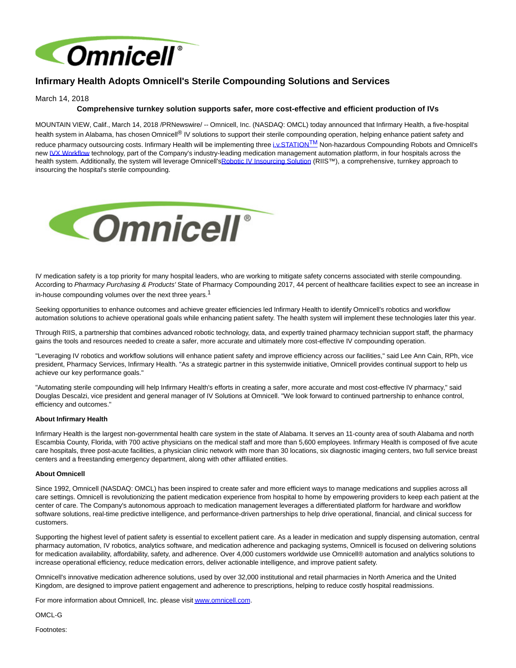

# **Infirmary Health Adopts Omnicell's Sterile Compounding Solutions and Services**

March 14, 2018

## **Comprehensive turnkey solution supports safer, more cost-effective and efficient production of IVs**

MOUNTAIN VIEW, Calif., March 14, 2018 /PRNewswire/ -- Omnicell, Inc. (NASDAQ: OMCL) today announced that Infirmary Health, a five-hospital health system in Alabama, has chosen Omnicell® IV solutions to support their sterile compounding operation, helping enhance patient safety and reduce pharmacy outsourcing costs. Infirmary Health will be implementing three iv STATION<sup>TM</sup> Non-hazardous Compounding Robots and Omnicell's new [IVX Workflow t](https://www.omnicell.com/Products/IV_Solutions/IVX_Workflow.aspx)echnology, part of the Company's industry-leading medication management automation platform, in four hospitals across the health system. Additionally, the system will leverage Omnicell'[sRobotic IV Insourcing Solution \(](https://www.omnicell.com/Products/IV_Solutions/RIIS_-_Robotic_IV_Insourcing_Solution.aspx)RIIS™), a comprehensive, turnkey approach to insourcing the hospital's sterile compounding.



IV medication safety is a top priority for many hospital leaders, who are working to mitigate safety concerns associated with sterile compounding. According to Pharmacy Purchasing & Products' State of Pharmacy Compounding 2017, 44 percent of healthcare facilities expect to see an increase in in-house compounding volumes over the next three years.<sup>1</sup>

Seeking opportunities to enhance outcomes and achieve greater efficiencies led Infirmary Health to identify Omnicell's robotics and workflow automation solutions to achieve operational goals while enhancing patient safety. The health system will implement these technologies later this year.

Through RIIS, a partnership that combines advanced robotic technology, data, and expertly trained pharmacy technician support staff, the pharmacy gains the tools and resources needed to create a safer, more accurate and ultimately more cost-effective IV compounding operation.

"Leveraging IV robotics and workflow solutions will enhance patient safety and improve efficiency across our facilities," said Lee Ann Cain, RPh, vice president, Pharmacy Services, Infirmary Health. "As a strategic partner in this systemwide initiative, Omnicell provides continual support to help us achieve our key performance goals."

"Automating sterile compounding will help Infirmary Health's efforts in creating a safer, more accurate and most cost-effective IV pharmacy," said Douglas Descalzi, vice president and general manager of IV Solutions at Omnicell. "We look forward to continued partnership to enhance control, efficiency and outcomes."

#### **About Infirmary Health**

Infirmary Health is the largest non-governmental health care system in the state of Alabama. It serves an 11-county area of south Alabama and north Escambia County, Florida, with 700 active physicians on the medical staff and more than 5,600 employees. Infirmary Health is composed of five acute care hospitals, three post-acute facilities, a physician clinic network with more than 30 locations, six diagnostic imaging centers, two full service breast centers and a freestanding emergency department, along with other affiliated entities.

#### **About Omnicell**

Since 1992, Omnicell (NASDAQ: OMCL) has been inspired to create safer and more efficient ways to manage medications and supplies across all care settings. Omnicell is revolutionizing the patient medication experience from hospital to home by empowering providers to keep each patient at the center of care. The Company's autonomous approach to medication management leverages a differentiated platform for hardware and workflow software solutions, real-time predictive intelligence, and performance-driven partnerships to help drive operational, financial, and clinical success for customers.

Supporting the highest level of patient safety is essential to excellent patient care. As a leader in medication and supply dispensing automation, central pharmacy automation, IV robotics, analytics software, and medication adherence and packaging systems, Omnicell is focused on delivering solutions for medication availability, affordability, safety, and adherence. Over 4,000 customers worldwide use Omnicell® automation and analytics solutions to increase operational efficiency, reduce medication errors, deliver actionable intelligence, and improve patient safety.

Omnicell's innovative medication adherence solutions, used by over 32,000 institutional and retail pharmacies in North America and the United Kingdom, are designed to improve patient engagement and adherence to prescriptions, helping to reduce costly hospital readmissions.

For more information about Omnicell, Inc. please visi[t www.omnicell.com.](http://www.omnicell.com/)

OMCL-G

Footnotes: